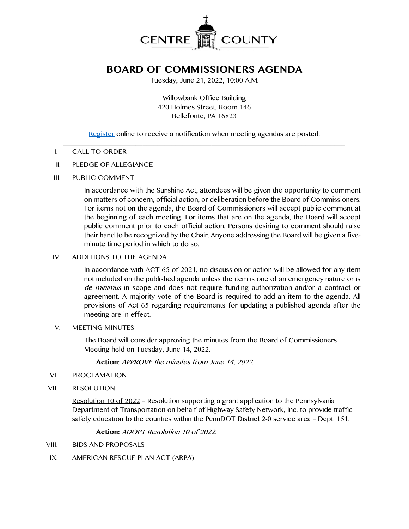

# **BOARD OF COMMISSIONERS AGENDA**

Tuesday, June 21, 2022, 10:00 A.M.

Willowbank Office Building 420 Holmes Street, Room 146 Bellefonte, PA 16823

[Register](http://www.centrecountypa.gov/AgendaCenter) online to receive a notification when meeting agendas are posted.

#### $\mathcal{L} = \{ \mathcal{L} = \{ \mathcal{L} \mid \mathcal{L} = \{ \mathcal{L} \mid \mathcal{L} = \{ \mathcal{L} \mid \mathcal{L} = \{ \mathcal{L} \mid \mathcal{L} = \{ \mathcal{L} \mid \mathcal{L} = \{ \mathcal{L} \mid \mathcal{L} = \{ \mathcal{L} \mid \mathcal{L} = \{ \mathcal{L} \mid \mathcal{L} = \{ \mathcal{L} \mid \mathcal{L} = \{ \mathcal{L} \mid \mathcal{L} = \{ \mathcal{L} \mid \mathcal{L} = \{ \mathcal{L} \mid \mathcal{L} =$ I. CALL TO ORDER

#### II. PLEDGE OF ALLEGIANCE

III. PUBLIC COMMENT

In accordance with the Sunshine Act, attendees will be given the opportunity to comment on matters of concern, official action, or deliberation before the Board of Commissioners. For items not on the agenda, the Board of Commissioners will accept public comment at the beginning of each meeting. For items that are on the agenda, the Board will accept public comment prior to each official action. Persons desiring to comment should raise their hand to be recognized by the Chair. Anyone addressing the Board will be given a fiveminute time period in which to do so.

#### IV. ADDITIONS TO THE AGENDA

In accordance with ACT 65 of 2021, no discussion or action will be allowed for any item not included on the published agenda unless the item is one of an emergency nature or is de minimus in scope and does not require funding authorization and/or a contract or agreement. A majority vote of the Board is required to add an item to the agenda. All provisions of Act 65 regarding requirements for updating a published agenda after the meeting are in effect.

#### V. MEETING MINUTES

The Board will consider approving the minutes from the Board of Commissioners Meeting held on Tuesday, June 14, 2022.

**Action**: APPROVE the minutes from June 14, 2022.

- VI. PROCLAMATION
- VII. RESOLUTION

Resolution 10 of 2022 – Resolution supporting a grant application to the Pennsylvania Department of Transportation on behalf of Highway Safety Network, Inc. to provide traffic safety education to the counties within the PennDOT District 2-0 service area – Dept. 151.

**Action:** ADOPT Resolution 10 of 2022.

- VIII. BIDS AND PROPOSALS
- IX. AMERICAN RESCUE PLAN ACT (ARPA)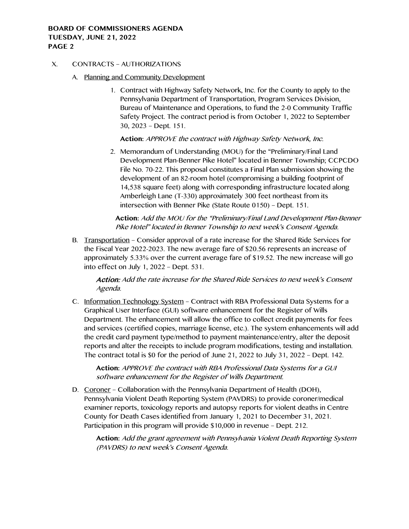#### X. CONTRACTS – AUTHORIZATIONS

- A. Planning and Community Development
	- 1. Contract with Highway Safety Network, Inc. for the County to apply to the Pennsylvania Department of Transportation, Program Services Division, Bureau of Maintenance and Operations, to fund the 2-0 Community Traffic Safety Project. The contract period is from October 1, 2022 to September 30, 2023 – Dept. 151.

**Action:** APPROVE the contract with Highway Safety Network, Inc.

2. Memorandum of Understanding (MOU) for the "Preliminary/Final Land Development Plan-Benner Pike Hotel" located in Benner Township; CCPCDO File No. 70-22. This proposal constitutes a Final Plan submission showing the development of an 82-room hotel (compromising a building footprint of 14,538 square feet) along with corresponding infrastructure located along Amberleigh Lane (T-330) approximately 300 feet northeast from its intersection with Benner Pike (State Route 0150) – Dept. 151.

**Action:** Add the MOU for the "Preliminary/Final Land Development Plan-Benner Pike Hotel" located in Benner Township to next week's Consent Agenda.

B. Transportation – Consider approval of a rate increase for the Shared Ride Services for the Fiscal Year 2022-2023. The new average fare of \$20.56 represents an increase of approximately 5.33% over the current average fare of \$19.52. The new increase will go into effect on July 1, 2022 – Dept. 531.

Action: Add the rate increase for the Shared Ride Services to next week's Consent Agenda.

C. Information Technology System – Contract with RBA Professional Data Systems for a Graphical User Interface (GUI) software enhancement for the Register of Wills Department. The enhancement will allow the office to collect credit payments for fees and services (certified copies, marriage license, etc.). The system enhancements will add the credit card payment type/method to payment maintenance/entry, alter the deposit reports and alter the receipts to include program modifications, testing and installation. The contract total is \$0 for the period of June 21, 2022 to July 31, 2022 – Dept. 142.

**Action:** APPROVE the contract with RBA Professional Data Systems for a GUI software enhancement for the Register of Wills Department.

D. Coroner - Collaboration with the Pennsylvania Department of Health (DOH), Pennsylvania Violent Death Reporting System (PAVDRS) to provide coroner/medical examiner reports, toxicology reports and autopsy reports for violent deaths in Centre County for Death Cases identified from January 1, 2021 to December 31, 2021. Participation in this program will provide \$10,000 in revenue – Dept. 212.

**Action:** Add the grant agreement with Pennsylvania Violent Death Reporting System (PAVDRS) to next week's Consent Agenda.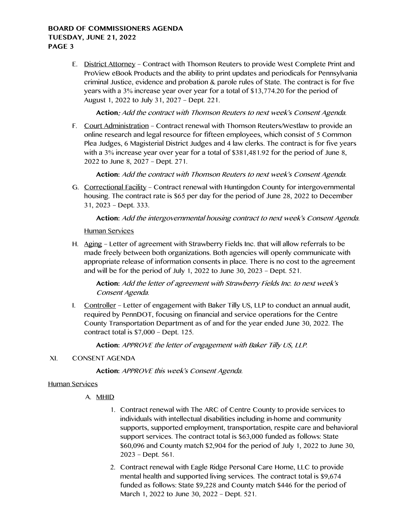E. District Attorney – Contract with Thomson Reuters to provide West Complete Print and ProView eBook Products and the ability to print updates and periodicals for Pennsylvania criminal Justice, evidence and probation & parole rules of State. The contract is for five years with a 3% increase year over year for a total of \$13,774.20 for the period of August 1, 2022 to July 31, 2027 – Dept. 221.

**Action**: Add the contract with Thomson Reuters to next week's Consent Agenda.

F. Court Administration – Contract renewal with Thomson Reuters/Westlaw to provide an online research and legal resource for fifteen employees, which consist of 5 Common Plea Judges, 6 Magisterial District Judges and 4 law clerks. The contract is for five years with a 3% increase year over year for a total of \$381,481.92 for the period of June 8, 2022 to June 8, 2027 – Dept. 271.

**Action:** Add the contract with Thomson Reuters to next week's Consent Agenda.

G. Correctional Facility – Contract renewal with Huntingdon County for intergovernmental housing. The contract rate is \$65 per day for the period of June 28, 2022 to December 31, 2023 – Dept. 333.

**Action:** Add the intergovernmental housing contract to next week's Consent Agenda.

Human Services

H. Aging – Letter of agreement with Strawberry Fields Inc. that will allow referrals to be made freely between both organizations. Both agencies will openly communicate with appropriate release of information consents in place. There is no cost to the agreement and will be for the period of July 1, 2022 to June 30, 2023 – Dept. 521.

**Action:** Add the letter of agreement with Strawberry Fields Inc. to next week's Consent Agenda.

I. Controller – Letter of engagement with Baker Tilly US, LLP to conduct an annual audit, required by PennDOT, focusing on financial and service operations for the Centre County Transportation Department as of and for the year ended June 30, 2022. The contract total is \$7,000 – Dept. 125.

**Action:** APPROVE the letter of engagement with Baker Tilly US, LLP.

#### XI. CONSENT AGENDA

**Action:** APPROVE this week's Consent Agenda.

#### Human Services

A. MHID

- 1. Contract renewal with The ARC of Centre County to provide services to individuals with intellectual disabilities including in-home and community supports, supported employment, transportation, respite care and behavioral support services. The contract total is \$63,000 funded as follows: State \$60,096 and County match \$2,904 for the period of July 1, 2022 to June 30, 2023 – Dept. 561.
- 2. Contract renewal with Eagle Ridge Personal Care Home, LLC to provide mental health and supported living services. The contract total is \$9,674 funded as follows: State \$9,228 and County match \$446 for the period of March 1, 2022 to June 30, 2022 – Dept. 521.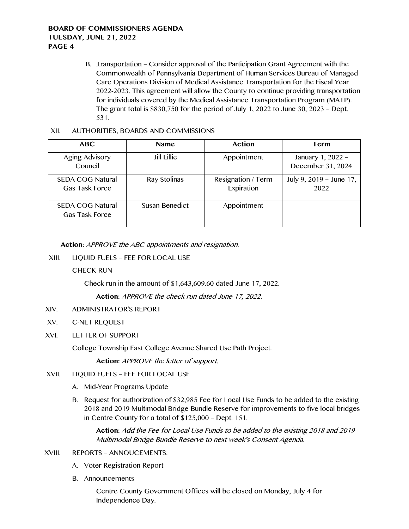B. Transportation – Consider approval of the Participation Grant Agreement with the Commonwealth of Pennsylvania Department of Human Services Bureau of Managed Care Operations Division of Medical Assistance Transportation for the Fiscal Year 2022-2023. This agreement will allow the County to continue providing transportation for individuals covered by the Medical Assistance Transportation Program (MATP). The grant total is \$830,750 for the period of July 1, 2022 to June 30, 2023 – Dept. 531.

#### XII. AUTHORITIES, BOARDS AND COMMISSIONS

| <b>ABC</b>                                       | <b>Name</b>    | Action                           | Term                                   |
|--------------------------------------------------|----------------|----------------------------------|----------------------------------------|
| Aging Advisory<br>Council                        | Jill Lillie    | Appointment                      | January 1, 2022 -<br>December 31, 2024 |
| <b>SEDA COG Natural</b><br><b>Gas Task Force</b> | Ray Stolinas   | Resignation / Term<br>Expiration | July 9, 2019 - June 17,<br>2022        |
| <b>SEDA COG Natural</b><br><b>Gas Task Force</b> | Susan Benedict | Appointment                      |                                        |

**Action:** APPROVE the ABC appointments and resignation.

XIII. LIQUID FUELS – FEE FOR LOCAL USE

CHECK RUN

Check run in the amount of \$1,643,609.60 dated June 17, 2022.

**Action:** APPROVE the check run dated June 17, 2022.

- XIV. ADMINISTRATOR'S REPORT
- XV. C-NET REQUEST
- XVI. LETTER OF SUPPORT

College Township East College Avenue Shared Use Path Project.

**Action:** APPROVE the letter of support.

- XVII. LIQUID FUELS FEE FOR LOCAL USE
	- A. Mid-Year Programs Update
	- B. Request for authorization of \$32,985 Fee for Local Use Funds to be added to the existing 2018 and 2019 Multimodal Bridge Bundle Reserve for improvements to five local bridges in Centre County for a total of \$125,000 – Dept. 151.

**Action:** Add the Fee for Local Use Funds to be added to the existing 2018 and 2019 Multimodal Bridge Bundle Reserve to next week's Consent Agenda.

- XVIII. REPORTS ANNOUCEMENTS.
	- A. Voter Registration Report
	- B. Announcements

Centre County Government Offices will be closed on Monday, July 4 for Independence Day.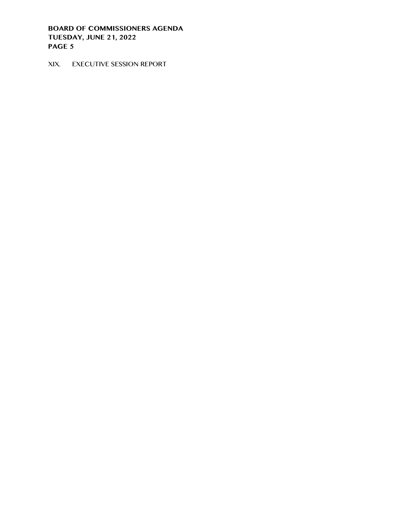XIX. EXECUTIVE SESSION REPORT